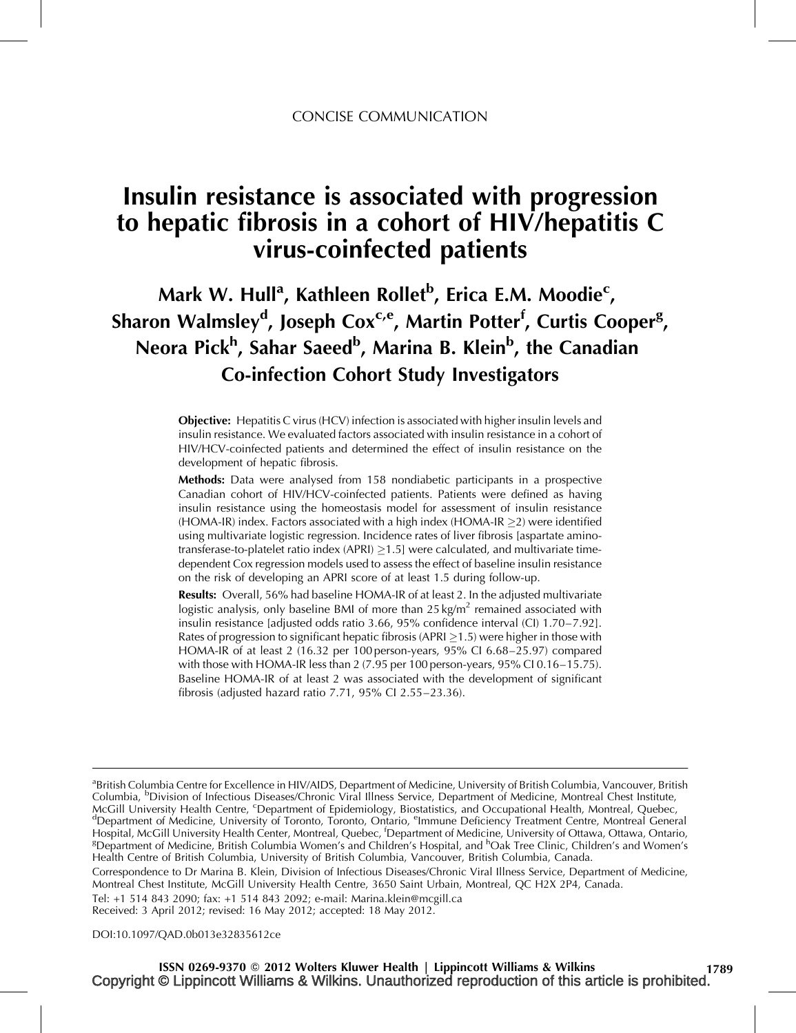# Insulin resistance is associated with progression to hepatic fibrosis in a cohort of HIV/hepatitis C virus-coinfected patients

# Mark W. Hull<sup>a</sup>, Kathleen Rollet<sup>b</sup>, Erica E.M. Moodie<sup>c</sup>, Sharon Walmsley<sup>d</sup>, Joseph Cox<sup>c,e</sup>, Martin Potter<sup>f</sup>, Curtis Cooper<sup>g</sup>, Neora Pick<sup>h</sup>, Sahar Saeed<sup>b</sup>, Marina B. Klein<sup>b</sup>, the Canadian Co-infection Cohort Study Investigators

Objective: Hepatitis C virus (HCV) infection is associated with higher insulin levels and insulin resistance. We evaluated factors associated with insulin resistance in a cohort of HIV/HCV-coinfected patients and determined the effect of insulin resistance on the development of hepatic fibrosis.

Methods: Data were analysed from 158 nondiabetic participants in a prospective Canadian cohort of HIV/HCV-coinfected patients. Patients were defined as having insulin resistance using the homeostasis model for assessment of insulin resistance  $(HOMA-IR)$  index. Factors associated with a high index  $(HOMA-IR > 2)$  were identified using multivariate logistic regression. Incidence rates of liver fibrosis [aspartate aminotransferase-to-platelet ratio index (APRI)  $\geq$ 1.5] were calculated, and multivariate timedependent Cox regression models used to assess the effect of baseline insulin resistance on the risk of developing an APRI score of at least 1.5 during follow-up.

Results: Overall, 56% had baseline HOMA-IR of at least 2. In the adjusted multivariate logistic analysis, only baseline BMI of more than  $25 \text{ kg/m}^2$  remained associated with insulin resistance [adjusted odds ratio 3.66, 95% confidence interval (CI) 1.70–7.92]. Rates of progression to significant hepatic fibrosis (APRI  $>1.5$ ) were higher in those with HOMA-IR of at least 2 (16.32 per 100 person-years, 95% CI 6.68–25.97) compared with those with HOMA-IR less than 2 (7.95 per 100 person-years, 95% CI 0.16–15.75). Baseline HOMA-IR of at least 2 was associated with the development of significant fibrosis (adjusted hazard ratio 7.71, 95% CI 2.55–23.36).

<sup>a</sup>British Columbia Centre for Excellence in HIV/AIDS, Department of Medicine, University of British Columbia, Vancouver, British Columbia, <sup>b</sup>Division of Infectious Diseases/Chronic Viral Illness Service, Department of Medicine, Montreal Chest Institute, McGill University Health Centre, <sup>c</sup>Department of Epidemiology, Biostatistics, and Occupational Health, Montreal, Quebec, dependence of Medicine, University of Terrato, Technology, Biostatistics, and Occupational Health, M <sup>d</sup>Department of Medicine, University of Toronto, Toronto, Ontario, <sup>e</sup>Immune Deficiency Treatment Centre, Montreal General<br>Hospital, McGill University Health Center, Montreal, Quebec, <sup>f</sup>Department of Medicine, University Health Centre of British Columbia, University of British Columbia, Vancouver, British Columbia, Canada.

Correspondence to Dr Marina B. Klein, Division of Infectious Diseases/Chronic Viral Illness Service, Department of Medicine, Montreal Chest Institute, McGill University Health Centre, 3650 Saint Urbain, Montreal, QC H2X 2P4, Canada.

Tel: +1 514 843 2090; fax: +1 514 843 2092; e-mail: [Marina.klein@mcgill.ca](mailto:Marina.klein@mcgill.ca) Received: 3 April 2012; revised: 16 May 2012; accepted: 18 May 2012.

DOI[:10.1097/QAD.0b013e32835612ce](http://dx.doi.org/10.1097/QAD.0b013e32835612ce)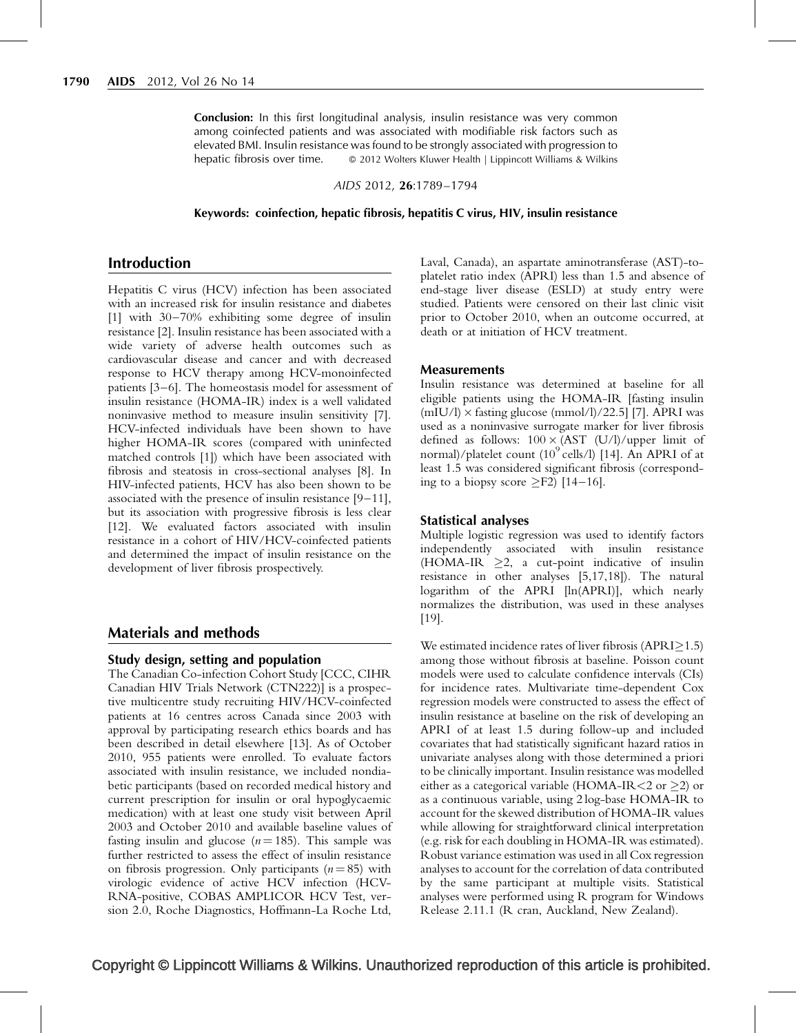**Conclusion:** In this first longitudinal analysis, insulin resistance was very common among coinfected patients and was associated with modifiable risk factors such as elevated BMI. Insulin resistance was found to be strongly associated with progression to hepatic fibrosis over time.  $\circ$  2012 Wolters Kluwer Health | Lippincott Williams & Wilkins

AIDS 2012, 26*:*1789–1794

Keywords: coinfection, hepatic fibrosis, hepatitis C virus, HIV, insulin resistance

## Introduction

Hepatitis C virus (HCV) infection has been associated with an increased risk for insulin resistance and diabetes [\[1\]](#page-4-0) with 30–70% exhibiting some degree of insulin resistance [\[2\]](#page-4-0). Insulin resistance has been associated with a wide variety of adverse health outcomes such as cardiovascular disease and cancer and with decreased response to HCV therapy among HCV-monoinfected patients [\[3–6\].](#page-4-0) The homeostasis model for assessment of insulin resistance (HOMA-IR) index is a well validated noninvasive method to measure insulin sensitivity [\[7\]](#page-5-0). HCV-infected individuals have been shown to have higher HOMA-IR scores (compared with uninfected matched controls [\[1\]\)](#page-4-0) which have been associated with fibrosis and steatosis in cross-sectional analyses [\[8\]](#page-5-0). In HIV-infected patients, HCV has also been shown to be associated with the presence of insulin resistance [\[9–11\]](#page-5-0), but its association with progressive fibrosis is less clear [\[12\]](#page-5-0). We evaluated factors associated with insulin resistance in a cohort of HIV/HCV-coinfected patients and determined the impact of insulin resistance on the development of liver fibrosis prospectively.

#### Materials and methods

#### Study design, setting and population

The Canadian Co-infection Cohort Study [CCC, CIHR Canadian HIV Trials Network (CTN222)] is a prospective multicentre study recruiting HIV/HCV-coinfected patients at 16 centres across Canada since 2003 with approval by participating research ethics boards and has been described in detail elsewhere [\[13\]](#page-5-0). As of October 2010, 955 patients were enrolled. To evaluate factors associated with insulin resistance, we included nondiabetic participants (based on recorded medical history and current prescription for insulin or oral hypoglycaemic medication) with at least one study visit between April 2003 and October 2010 and available baseline values of fasting insulin and glucose  $(n = 185)$ . This sample was further restricted to assess the effect of insulin resistance on fibrosis progression. Only participants  $(n = 85)$  with virologic evidence of active HCV infection (HCV-RNA-positive, COBAS AMPLICOR HCV Test, version 2.0, Roche Diagnostics, Hoffmann-La Roche Ltd, Laval, Canada), an aspartate aminotransferase (AST)-toplatelet ratio index (APRI) less than 1.5 and absence of end-stage liver disease (ESLD) at study entry were studied. Patients were censored on their last clinic visit prior to October 2010, when an outcome occurred, at death or at initiation of HCV treatment.

#### **Measurements**

Insulin resistance was determined at baseline for all eligible patients using the HOMA-IR [fasting insulin  $(mIU/l) \times$  fasting glucose  $(mmol/l)/22.5$ ] [\[7\]](#page-5-0). APRI was used as a noninvasive surrogate marker for liver fibrosis defined as follows:  $100 \times (AST (U/l)/upper limit of$ normal)/platelet count  $(10^9 \text{ cells/l})$  [\[14\].](#page-5-0) An APRI of at least 1.5 was considered significant fibrosis (corresponding to a biopsy score  $\geq$ F2) [\[14–16\].](#page-5-0)

#### Statistical analyses

Multiple logistic regression was used to identify factors independently associated with insulin resistance (HOMA-IR  $\geq$ 2, a cut-point indicative of insulin resistance in other analyses [\[5,17,18\]](#page-5-0)). The natural logarithm of the APRI [ln(APRI)], which nearly normalizes the distribution, was used in these analyses [\[19\]](#page-5-0).

We estimated incidence rates of liver fibrosis  $APRI > 1.5$ ) among those without fibrosis at baseline. Poisson count models were used to calculate confidence intervals (CIs) for incidence rates. Multivariate time-dependent Cox regression models were constructed to assess the effect of insulin resistance at baseline on the risk of developing an APRI of at least 1.5 during follow-up and included covariates that had statistically significant hazard ratios in univariate analyses along with those determined a priori to be clinically important. Insulin resistance was modelled either as a categorical variable (HOMA-IR < 2 or  $\geq$ 2) or as a continuous variable, using 2 log-base HOMA-IR to account for the skewed distribution of HOMA-IR values while allowing for straightforward clinical interpretation (e.g. risk for each doubling in HOMA-IR was estimated). Robust variance estimation was used in all Cox regression analyses to account for the correlation of data contributed by the same participant at multiple visits. Statistical analyses were performed using R program for Windows Release 2.11.1 (R cran, Auckland, New Zealand).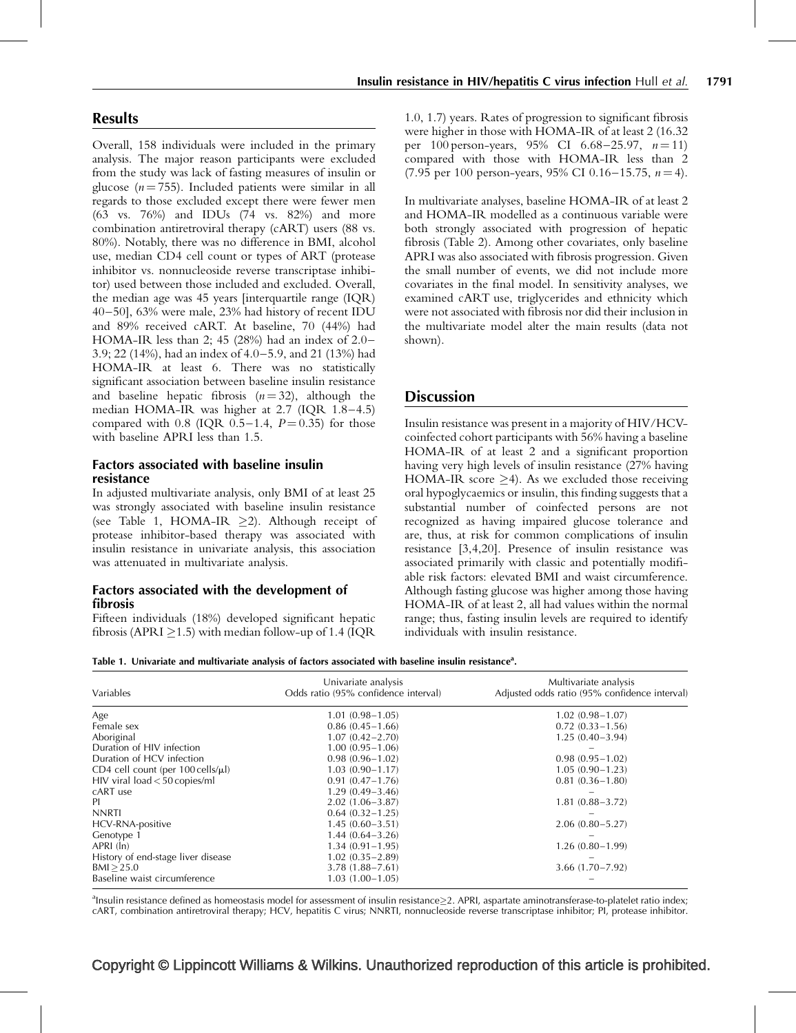Overall, 158 individuals were included in the primary analysis. The major reason participants were excluded from the study was lack of fasting measures of insulin or glucose ( $n = 755$ ). Included patients were similar in all regards to those excluded except there were fewer men (63 vs. 76%) and IDUs (74 vs. 82%) and more combination antiretroviral therapy (cART) users (88 vs. 80%). Notably, there was no difference in BMI, alcohol use, median CD4 cell count or types of ART (protease inhibitor vs. nonnucleoside reverse transcriptase inhibitor) used between those included and excluded. Overall, the median age was 45 years [interquartile range (IQR) 40–50], 63% were male, 23% had history of recent IDU and 89% received cART. At baseline, 70 (44%) had HOMA-IR less than 2; 45 (28%) had an index of 2.0– 3.9; 22 (14%), had an index of 4.0–5.9, and 21 (13%) had HOMA-IR at least 6. There was no statistically significant association between baseline insulin resistance and baseline hepatic fibrosis  $(n = 32)$ , although the median HOMA-IR was higher at 2.7 (IQR 1.8–4.5) compared with 0.8 (IQR  $0.5-1.4$ ,  $P = 0.35$ ) for those with baseline APRI less than 1.5.

## Factors associated with baseline insulin resistance

In adjusted multivariate analysis, only BMI of at least 25 was strongly associated with baseline insulin resistance (see Table 1, HOMA-IR  $\geq$ 2). Although receipt of protease inhibitor-based therapy was associated with insulin resistance in univariate analysis, this association was attenuated in multivariate analysis.

#### Factors associated with the development of fibrosis

Fifteen individuals (18%) developed significant hepatic fibrosis (APRI  $\geq$ 1.5) with median follow-up of 1.4 (IQR

1.0, 1.7) years. Rates of progression to significant fibrosis were higher in those with HOMA-IR of at least 2 (16.32 per 100 person-years, 95% CI 6.68-25.97,  $n = 11$ ) compared with those with HOMA-IR less than 2 (7.95 per 100 person-years, 95% CI 0.16–15.75,  $n = 4$ ).

In multivariate analyses, baseline HOMA-IR of at least 2 and HOMA-IR modelled as a continuous variable were both strongly associated with progression of hepatic fibrosis ([Table 2](#page-3-0)). Among other covariates, only baseline APRI was also associated with fibrosis progression. Given the small number of events, we did not include more covariates in the final model. In sensitivity analyses, we examined cART use, triglycerides and ethnicity which were not associated with fibrosis nor did their inclusion in the multivariate model alter the main results (data not shown).

## **Discussion**

Insulin resistance was present in a majority of HIV/HCVcoinfected cohort participants with 56% having a baseline HOMA-IR of at least 2 and a significant proportion having very high levels of insulin resistance (27% having HOMA-IR score  $\geq$ 4). As we excluded those receiving oral hypoglycaemics or insulin, this finding suggests that a substantial number of coinfected persons are not recognized as having impaired glucose tolerance and are, thus, at risk for common complications of insulin resistance [\[3,4,20\]](#page-4-0). Presence of insulin resistance was associated primarily with classic and potentially modifiable risk factors: elevated BMI and waist circumference. Although fasting glucose was higher among those having HOMA-IR of at least 2, all had values within the normal range; thus, fasting insulin levels are required to identify individuals with insulin resistance.

Table 1. Univariate and multivariate analysis of factors associated with baseline insulin resistance<sup>a</sup>.

| Variables                                 | Univariate analysis<br>Odds ratio (95% confidence interval) | Multivariate analysis<br>Adjusted odds ratio (95% confidence interval) |
|-------------------------------------------|-------------------------------------------------------------|------------------------------------------------------------------------|
| Age                                       | $1.01(0.98 - 1.05)$                                         | $1.02(0.98 - 1.07)$                                                    |
| Female sex                                | $0.86(0.45-1.66)$                                           | $0.72(0.33 - 1.56)$                                                    |
| Aboriginal                                | $1.07(0.42 - 2.70)$                                         | $1.25(0.40-3.94)$                                                      |
| Duration of HIV infection                 | $1.00(0.95 - 1.06)$                                         |                                                                        |
| Duration of HCV infection                 | $0.98(0.96 - 1.02)$                                         | $0.98(0.95 - 1.02)$                                                    |
| CD4 cell count (per $100$ cells/ $\mu$ l) | $1.03(0.90 - 1.17)$                                         | $1.05(0.90 - 1.23)$                                                    |
| $HIV$ viral load $<$ 50 copies/ml         | $0.91(0.47 - 1.76)$                                         | $0.81(0.36 - 1.80)$                                                    |
| cART use                                  | $1.29(0.49-3.46)$                                           |                                                                        |
| PI.                                       | $2.02(1.06 - 3.87)$                                         | $1.81(0.88 - 3.72)$                                                    |
| <b>NNRTI</b>                              | $0.64(0.32 - 1.25)$                                         |                                                                        |
| HCV-RNA-positive                          | $1.45(0.60-3.51)$                                           | $2.06(0.80 - 5.27)$                                                    |
| Genotype 1                                | $1.44(0.64 - 3.26)$                                         |                                                                        |
| APRI (In)                                 | $1.34(0.91 - 1.95)$                                         | $1.26(0.80 - 1.99)$                                                    |
| History of end-stage liver disease        | $1.02(0.35 - 2.89)$                                         |                                                                        |
| BMI > 25.0                                | $3.78(1.88 - 7.61)$                                         | $3.66(1.70 - 7.92)$                                                    |
| Baseline waist circumference              | $1.03(1.00-1.05)$                                           |                                                                        |

a<br> **Insulin resistance defined as homeostasis model for assessment of insulin resistance** 2. APRI, aspartate aminotransferase-to-platelet ratio index; cART, combination antiretroviral therapy; HCV, hepatitis C virus; NNRTI, nonnucleoside reverse transcriptase inhibitor; PI, protease inhibitor.

# Copyright © Lippincott Williams & Wilkins. Unauthorized reproduction of this article is prohibited.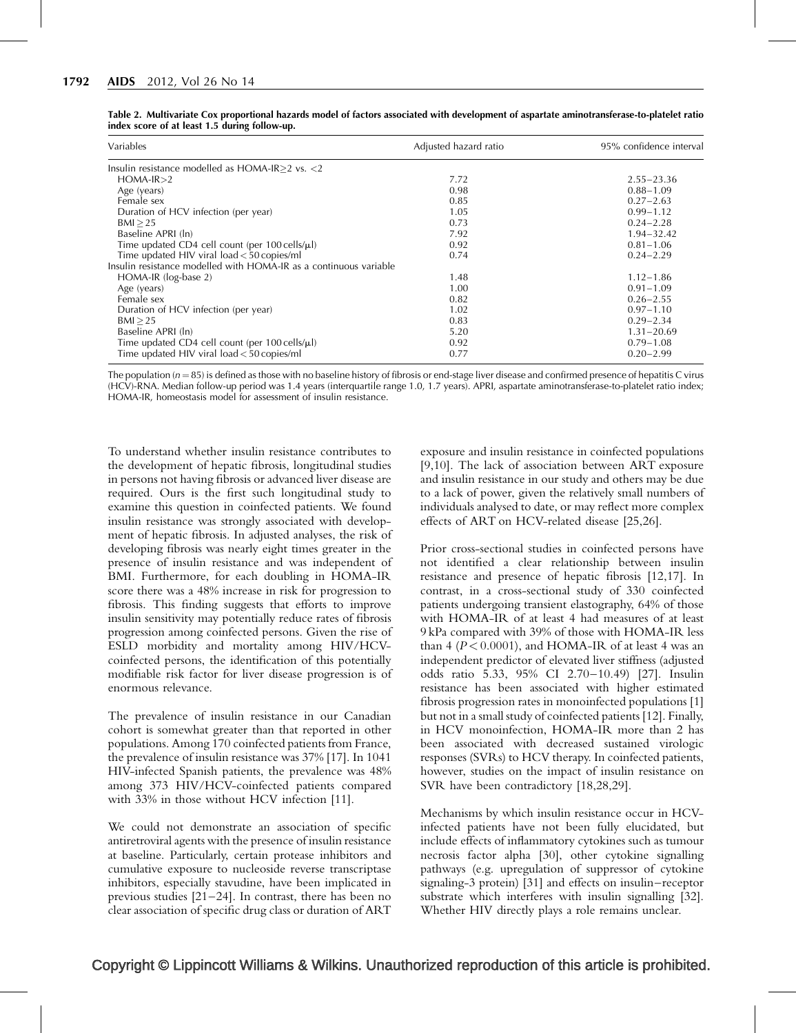| Variables                                                         | Adjusted hazard ratio | 95% confidence interval |
|-------------------------------------------------------------------|-----------------------|-------------------------|
| Insulin resistance modelled as $HOMA-IR>2$ vs. <2                 |                       |                         |
| $HOMA-IR>2$                                                       | 7.72                  | $2.55 - 23.36$          |
| Age (years)                                                       | 0.98                  | $0.88 - 1.09$           |
| Female sex                                                        | 0.85                  | $0.27 - 2.63$           |
| Duration of HCV infection (per year)                              | 1.05                  | $0.99 - 1.12$           |
| BM > 25                                                           | 0.73                  | $0.24 - 2.28$           |
| Baseline APRI (ln)                                                | 7.92                  | $1.94 - 32.42$          |
| Time updated CD4 cell count (per 100 cells/µl)                    | 0.92                  | $0.81 - 1.06$           |
| Time updated HIV viral $load < 50$ copies/ml                      | 0.74                  | $0.24 - 2.29$           |
| Insulin resistance modelled with HOMA-IR as a continuous variable |                       |                         |
| HOMA-IR (log-base 2)                                              | 1.48                  | $1.12 - 1.86$           |
| Age (years)                                                       | 1.00                  | $0.91 - 1.09$           |
| Female sex                                                        | 0.82                  | $0.26 - 2.55$           |
| Duration of HCV infection (per year)                              | 1.02                  | $0.97 - 1.10$           |
| BM > 25                                                           | 0.83                  | $0.29 - 2.34$           |
| Baseline APRI (ln)                                                | 5.20                  | $1.31 - 20.69$          |
| Time updated CD4 cell count (per 100 cells/µl)                    | 0.92                  | $0.79 - 1.08$           |
| Time updated HIV viral $load < 50$ copies/ml                      | 0.77                  | $0.20 - 2.99$           |

<span id="page-3-0"></span>Table 2. Multivariate Cox proportional hazards model of factors associated with development of aspartate aminotransferase-to-platelet ratio index score of at least 1.5 during follow-up.

The population  $(n = 85)$  is defined as those with no baseline history of fibrosis or end-stage liver disease and confirmed presence of hepatitis C virus (HCV)-RNA. Median follow-up period was 1.4 years (interquartile range 1.0, 1.7 years). APRI, aspartate aminotransferase-to-platelet ratio index; HOMA-IR, homeostasis model for assessment of insulin resistance.

To understand whether insulin resistance contributes to the development of hepatic fibrosis, longitudinal studies in persons not having fibrosis or advanced liver disease are required. Ours is the first such longitudinal study to examine this question in coinfected patients. We found insulin resistance was strongly associated with development of hepatic fibrosis. In adjusted analyses, the risk of developing fibrosis was nearly eight times greater in the presence of insulin resistance and was independent of BMI. Furthermore, for each doubling in HOMA-IR score there was a 48% increase in risk for progression to fibrosis. This finding suggests that efforts to improve insulin sensitivity may potentially reduce rates of fibrosis progression among coinfected persons. Given the rise of ESLD morbidity and mortality among HIV/HCVcoinfected persons, the identification of this potentially modifiable risk factor for liver disease progression is of enormous relevance.

The prevalence of insulin resistance in our Canadian cohort is somewhat greater than that reported in other populations. Among 170 coinfected patients from France, the prevalence of insulin resistance was 37% [\[17\]](#page-5-0). In 1041 HIV-infected Spanish patients, the prevalence was 48% among 373 HIV/HCV-coinfected patients compared with 33% in those without HCV infection [\[11\].](#page-5-0)

We could not demonstrate an association of specific antiretroviral agents with the presence of insulin resistance at baseline. Particularly, certain protease inhibitors and cumulative exposure to nucleoside reverse transcriptase inhibitors, especially stavudine, have been implicated in previous studies [\[21–24\]](#page-5-0). In contrast, there has been no clear association of specific drug class or duration of ART

exposure and insulin resistance in coinfected populations [\[9,10\]](#page-5-0). The lack of association between ART exposure and insulin resistance in our study and others may be due to a lack of power, given the relatively small numbers of individuals analysed to date, or may reflect more complex effects of ART on HCV-related disease [\[25,26\]](#page-5-0).

Prior cross-sectional studies in coinfected persons have not identified a clear relationship between insulin resistance and presence of hepatic fibrosis [\[12,17\]](#page-5-0). In contrast, in a cross-sectional study of 330 coinfected patients undergoing transient elastography, 64% of those with HOMA-IR of at least 4 had measures of at least 9 kPa compared with 39% of those with HOMA-IR less than 4 ( $P < 0.0001$ ), and HOMA-IR of at least 4 was an independent predictor of elevated liver stiffness (adjusted odds ratio 5.33, 95% CI 2.70–10.49) [\[27\]](#page-5-0). Insulin resistance has been associated with higher estimated fibrosis progression rates in monoinfected populations [\[1\]](#page-4-0) but not in a small study of coinfected patients [\[12\].](#page-5-0) Finally, in HCV monoinfection, HOMA-IR more than 2 has been associated with decreased sustained virologic responses (SVRs) to HCV therapy. In coinfected patients, however, studies on the impact of insulin resistance on SVR have been contradictory [\[18,28,29\].](#page-5-0)

Mechanisms by which insulin resistance occur in HCVinfected patients have not been fully elucidated, but include effects of inflammatory cytokines such as tumour necrosis factor alpha [\[30\],](#page-5-0) other cytokine signalling pathways (e.g. upregulation of suppressor of cytokine signaling-3 protein) [\[31\]](#page-5-0) and effects on insulin–receptor substrate which interferes with insulin signalling [\[32\]](#page-5-0). Whether HIV directly plays a role remains unclear.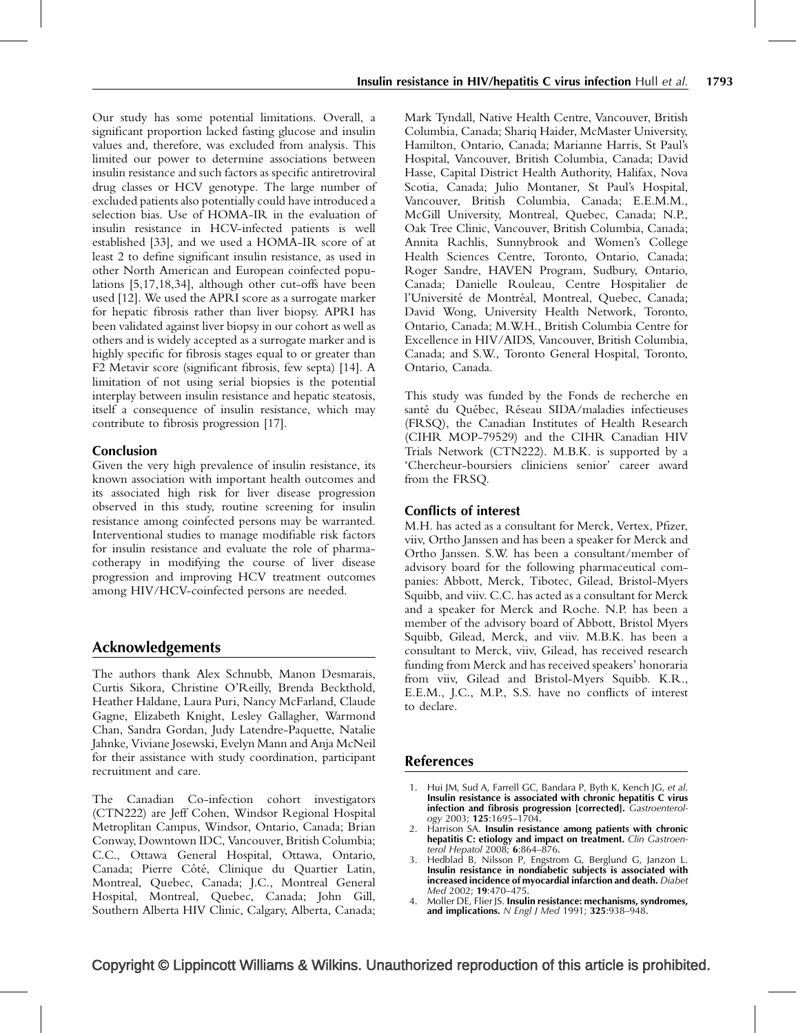<span id="page-4-0"></span>Our study has some potential limitations. Overall, a significant proportion lacked fasting glucose and insulin values and, therefore, was excluded from analysis. This limited our power to determine associations between insulin resistance and such factors as specific antiretroviral drug classes or HCV genotype. The large number of excluded patients also potentially could have introduced a selection bias. Use of HOMA-IR in the evaluation of insulin resistance in HCV-infected patients is well established [\[33\],](#page-5-0) and we used a HOMA-IR score of at least 2 to define significant insulin resistance, as used in other North American and European coinfected populations [\[5,17,18,34\],](#page-5-0) although other cut-offs have been used [\[12\]](#page-5-0). We used the APRI score as a surrogate marker for hepatic fibrosis rather than liver biopsy. APRI has been validated against liver biopsy in our cohort as well as others and is widely accepted as a surrogate marker and is highly specific for fibrosis stages equal to or greater than F2 Metavir score (significant fibrosis, few septa) [\[14\].](#page-5-0) A limitation of not using serial biopsies is the potential interplay between insulin resistance and hepatic steatosis, itself a consequence of insulin resistance, which may contribute to fibrosis progression [\[17\].](#page-5-0)

#### Conclusion

Given the very high prevalence of insulin resistance, its known association with important health outcomes and its associated high risk for liver disease progression observed in this study, routine screening for insulin resistance among coinfected persons may be warranted. Interventional studies to manage modifiable risk factors for insulin resistance and evaluate the role of pharmacotherapy in modifying the course of liver disease progression and improving HCV treatment outcomes among HIV/HCV-coinfected persons are needed.

## Acknowledgements

The authors thank Alex Schnubb, Manon Desmarais, Curtis Sikora, Christine O'Reilly, Brenda Beckthold, Heather Haldane, Laura Puri, Nancy McFarland, Claude Gagne, Elizabeth Knight, Lesley Gallagher, Warmond Chan, Sandra Gordan, Judy Latendre-Paquette, Natalie Jahnke, Viviane Josewski, Evelyn Mann and Anja McNeil for their assistance with study coordination, participant recruitment and care.

The Canadian Co-infection cohort investigators (CTN222) are Jeff Cohen, Windsor Regional Hospital Metroplitan Campus, Windsor, Ontario, Canada; Brian Conway, Downtown IDC, Vancouver, British Columbia; C.C., Ottawa General Hospital, Ottawa, Ontario, Canada; Pierre Côté, Clinique du Quartier Latin, Montreal, Quebec, Canada; J.C., Montreal General Hospital, Montreal, Quebec, Canada; John Gill, Southern Alberta HIV Clinic, Calgary, Alberta, Canada;

Mark Tyndall, Native Health Centre, Vancouver, British Columbia, Canada; Shariq Haider, McMaster University, Hamilton, Ontario, Canada; Marianne Harris, St Paul's Hospital, Vancouver, British Columbia, Canada; David Hasse, Capital District Health Authority, Halifax, Nova Scotia, Canada; Julio Montaner, St Paul's Hospital, Vancouver, British Columbia, Canada; E.E.M.M., McGill University, Montreal, Quebec, Canada; N.P., Oak Tree Clinic, Vancouver, British Columbia, Canada; Annita Rachlis, Sunnybrook and Women's College Health Sciences Centre, Toronto, Ontario, Canada; Roger Sandre, HAVEN Program, Sudbury, Ontario, Canada; Danielle Rouleau, Centre Hospitalier de l'Université de Montréal, Montreal, Quebec, Canada; David Wong, University Health Network, Toronto, Ontario, Canada; M.W.H., British Columbia Centre for Excellence in HIV/AIDS, Vancouver, British Columbia, Canada; and S.W., Toronto General Hospital, Toronto, Ontario, Canada.

This study was funded by the Fonds de recherche en santé du Québec, Réseau SIDA/maladies infectieuses (FRSQ), the Canadian Institutes of Health Research (CIHR MOP-79529) and the CIHR Canadian HIV Trials Network (CTN222). M.B.K. is supported by a 'Chercheur-boursiers cliniciens senior' career award from the FRSQ.

### Conflicts of interest

M.H. has acted as a consultant for Merck, Vertex, Pfizer, viiv, Ortho Janssen and has been a speaker for Merck and Ortho Janssen. S.W. has been a consultant/member of advisory board for the following pharmaceutical companies: Abbott, Merck, Tibotec, Gilead, Bristol-Myers Squibb, and viiv. C.C. has acted as a consultant for Merck and a speaker for Merck and Roche. N.P. has been a member of the advisory board of Abbott, Bristol Myers Squibb, Gilead, Merck, and viiv. M.B.K. has been a consultant to Merck, viiv, Gilead, has received research funding from Merck and has received speakers' honoraria from viiv, Gilead and Bristol-Myers Squibb. K.R., E.E.M., J.C., M.P., S.S. have no conflicts of interest to declare.

#### References

- Hui JM, Sud A, Farrell GC, Bandara P, Byth K, Kench JG, et al. Insulin resistance is associated with chronic hepatitis C virus infection and fibrosis progression [corrected]. Gastroenterology 2003; 125:1695–1704.
- 2. Harrison SA. Insulin resistance among patients with chronic hepatitis C: etiology and impact on treatment. Clin Gastroenterol Hepatol 2008; 6:864–876.
- 3. Hedblad B, Nilsson P, Engstrom G, Berglund G, Janzon L. Insulin resistance in nondiabetic subjects is associated with increased incidence of myocardial infarction and death. Diabet Med 2002; 19:470–475.
- 4. Moller DE, Flier JS. Insulin resistance: mechanisms, syndromes, and implications.  $N$  Engl J Med 1991; 325:938-948.